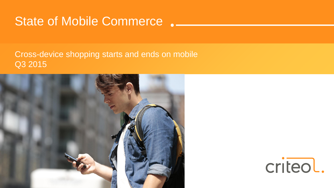# State of Mobile Commerce.

#### Cross-device shopping starts and ends on mobile Q3 2015



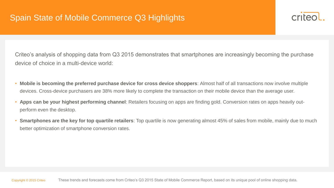

Criteo's analysis of shopping data from Q3 2015 demonstrates that smartphones are increasingly becoming the purchase device of choice in a multi-device world:

- **Mobile is becoming the preferred purchase device for cross device shoppers**: Almost half of all transactions now involve multiple devices. Cross-device purchasers are 38% more likely to complete the transaction on their mobile device than the average user.
- **Apps can be your highest performing channel**: Retailers focusing on apps are finding gold. Conversion rates on apps heavily outperform even the desktop.
- **Smartphones are the key for top quartile retailers**: Top quartile is now generating almost 45% of sales from mobile, mainly due to much better optimization of smartphone conversion rates.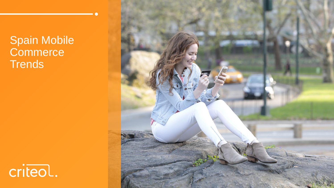Spain Mobile **Commerce Trends** 



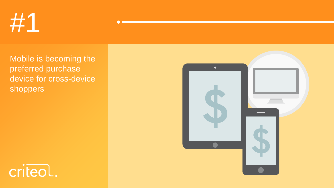

Mobile is becoming the preferred purchase device for cross-device shoppers



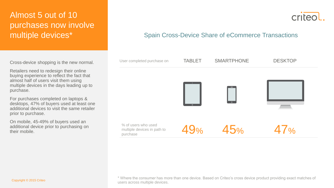## Almost 5 out of 10 purchases now involve multiple devices\*

Cross-device shopping is the new normal.

Retailers need to redesign their online buying experience to reflect the fact that almost half of users visit them using multiple devices in the days leading up to purchase.

For purchases completed on laptops & desktops, 47% of buyers used at least one additional devices to visit the same retailer prior to purchase.

On mobile, 45-49% of buyers used an additional device prior to purchasing on their mobile.

crited

#### Spain Cross-Device Share of eCommerce Transactions

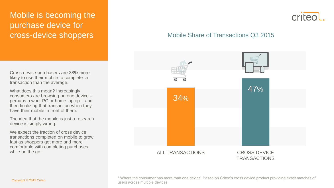## Mobile is becoming the purchase device for cross-device shoppers

Cross-device purchasers are 38% more likely to use their mobile to complete a transaction than the average.

What does this mean? Increasingly consumers are browsing on one device – perhaps a work PC or home laptop – and then finalizing that transaction when they have their mobile in front of them.

The idea that the mobile is just a research device is simply wrong.

We expect the fraction of cross device transactions completed on mobile to grow fast as shoppers get more and more comfortable with completing purchases while on the go.



#### Mobile Share of Transactions Q3 2015



\* Where the consumer has more than one device. Based on Criteo's cross device product providing exact matches of users across multiple devices. Copyright © 2015 Criteo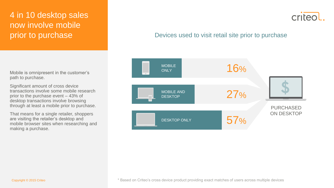## 4 in 10 desktop sales now involve mobile prior to purchase

criteo

#### Devices used to visit retail site prior to purchase

PURCHASED ON DESKTOP DESKTOP ONLY 16% 27% 57% MOBILE AND DESKTOP MOBILE **ONLY** 

Mobile is omnipresent in the customer's path to purchase.

Significant amount of cross device transactions involve some mobile research prior to the purchase event – 43% of desktop transactions involve browsing through at least a mobile prior to purchase.

That means for a single retailer, shoppers are visiting the retailer's desktop and mobile browser sites when researching and making a purchase.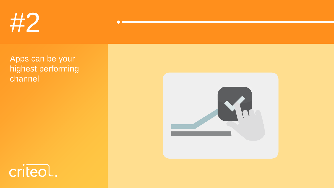

Apps can be your highest performing channel



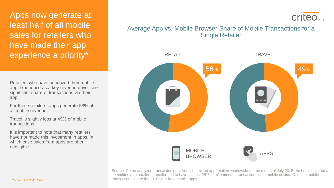Apps now generate at least half of all mobile sales for retailers who have made their app experience a priority\*

Retailers who have prioritized their mobile app experience as a key revenue driver see significant share of transactions via their app.

For these retailers, apps generate 58% of all mobile revenue.

Travel is slightly less at 49% of mobile transactions.

It is important to note that many retailers have not made this investment in apps, in which case sales from apps are often negligible.

criteol

#### Average App vs. Mobile Browser Share of Mobile Transactions for a Single Retailer

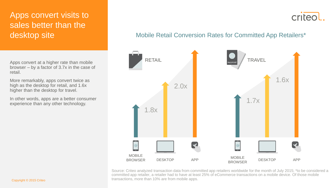## Apps convert visits to sales better than the desktop site

Apps convert at a higher rate than mobile browser – by a factor of 3.7x in the case of retail.

More remarkably, apps convert twice as high as the desktop for retail, and 1.6x higher than the desktop for travel.

In other words, apps are a better consumer experience than any other technology.

#### Mobile Retail Conversion Rates for Committed App Retailers\*

criteol

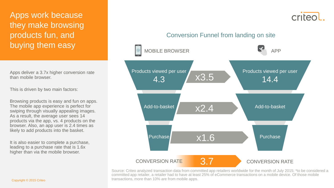Apps work because they make browsing products fun, and buying them easy

Apps deliver a 3.7x higher conversion rate than mobile browser.

This is driven by two main factors:

Browsing products is easy and fun on apps. The mobile app experience is perfect for swiping through visually appealing images. As a result, the average user sees 14 products via the app, vs. 4 products on the browser. Also, an app user is 2.4 times as likely to add products into the basket.

It is also easier to complete a purchase, leading to a purchase rate that is 1.6x higher than via the mobile browser.



criteo

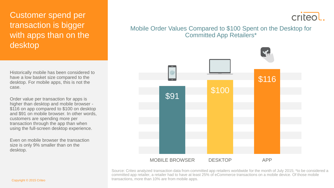## Customer spend per transaction is bigger with apps than on the desktop

Historically mobile has been considered to have a low basket size compared to the desktop. For mobile apps, this is not the case.

Order value per transaction for apps is higher than desktop and mobile browser - \$116 on app compared to \$100 on desktop and \$91 on mobile browser. In other words, customers are spending more per transaction through the app than when using the full-screen desktop experience.

Even on mobile browser the transaction size is only 9% smaller than on the desktop.

## criteol

#### Mobile Order Values Compared to \$100 Spent on the Desktop for Committed App Retailers\*

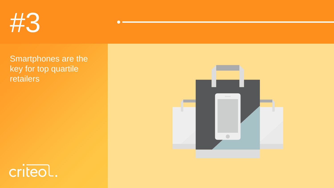

Smartphones are the key for top quartile retailers



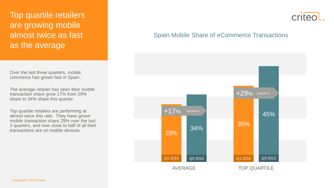Top quartile retailers are growing mobile almost twice as fast as the average

Over the last three quarters, mobile commerce has grown fast in Spain.

The average retailer has seen their mobile transaction share grow 17% from 29% share to 34% share this quarter.

Top quartile retailers are performing at almost twice this rate. They have grown mobile transaction share 29% over the last 3 quarters, and now close to half of all their transactions are on mobile devices.

## criteo

#### Spain Mobile Share of eCommerce Transactions

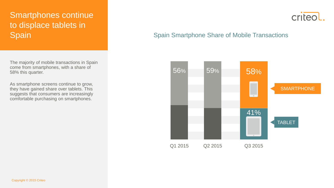## Smartphones continue to displace tablets in Spain

The majority of mobile transactions in Spain come from smartphones, with a share of 58% this quarter.

As smartphone screens continue to grow, they have gained share over tablets. This suggests that consumers are increasingly comfortable purchasing on smartphones.

## criteo

#### Spain Smartphone Share of Mobile Transactions

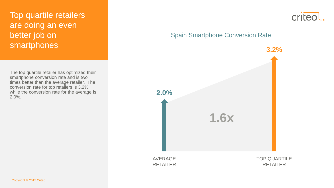## Top quartile retailers are doing an even better job on smartphones

The top quartile retailer has optimized their smartphone conversion rate and is two times better than the average retailer. The conversion rate for top retailers is 3.2% while the conversion rate for the average is 2.0%.



#### Spain Smartphone Conversion Rate

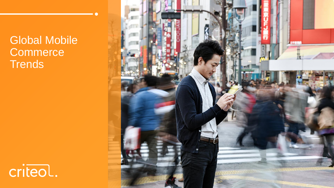Global Mobile **Commerce Trends** 



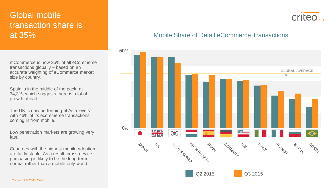## Global mobile transaction share is at 35%

mCommerce is now 35% of all eCommerce transactions globally – based on an accurate weighting of eCommerce market size by country.

Spain is in the middle of the pack, at 34,3%, which suggests there is a lot of growth ahead.

The UK is now performing at Asia levels with 46% of its ecommerce transactions coming in from mobile.

Low penetration markets are growing very fast.

Countries with the highest mobile adoption are fairly stable. As a result, cross-device purchasing is likely to be the long-term normal rather than a mobile-only world.



#### Mobile Share of Retail eCommerce Transactions

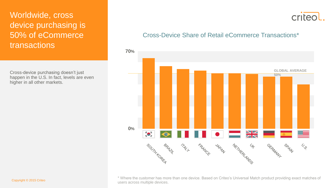## Worldwide, cross device purchasing is 50% of eCommerce transactions

Cross-device purchasing doesn't just happen in the U.S. In fact, levels are even higher in all other markets.

## criteol

#### Cross-Device Share of Retail eCommerce Transactions\*



\* Where the customer has more than one device. Based on Criteo's Universal Match product providing exact matches of users across multiple devices. Copyright © 2015 Criteo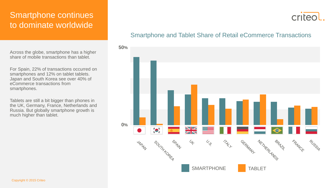#### Smartphone continues to dominate worldwide

Across the globe, smartphone has a higher share of mobile transactions than tablet.

For Spain, 22% of transactions occurred on smartphones and 12% on tablet tablets. Japan and South Korea see over 40% of eCommerce transactions from smartphones.

Tablets are still a bit bigger than phones in the UK, Germany, France, Netherlands and Russia. But globally smartphone growth is much higher than tablet.

#### Smartphone and Tablet Share of Retail eCommerce Transactions

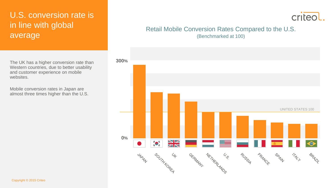## U.S. conversion rate is in line with global average

The UK has a higher conversion rate than Western countries, due to better usability and customer experience on mobile websites.

Mobile conversion rates in Japan are almost three times higher than the U.S.

## criteol

#### Retail Mobile Conversion Rates Compared to the U.S.

(Benchmarked at 100)

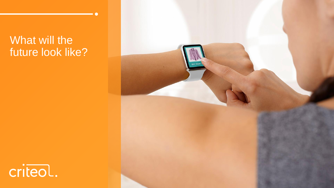# What will the future look like?



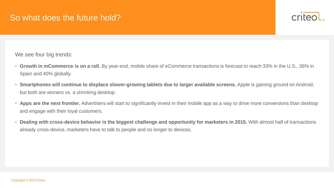

We see four big trends:

- **Growth in mCommerce is on a roll.** By year-end, mobile share of eCommerce transactions is forecast to reach 33% in the U.S., 36% in Spain and 40% globally.
- Smartphones will continue to displace slower-growing tablets due to larger available screens. Apple is gaining ground on Android, but both are winners vs. a shrinking desktop.
- **Apps are the next frontier.** Advertisers will start to significantly invest in their mobile app as a way to drive more conversions than desktop and engage with their loyal customers.
- **Dealing with cross-device behavior is the biggest challenge and opportunity for marketers in 2015.** With almost half of transactions already cross-device, marketers have to talk to people and no longer to devices.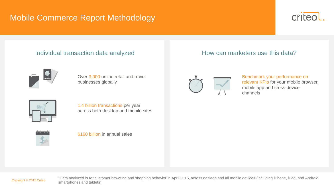## Mobile Commerce Report Methodology



#### Individual transaction data analyzed **Exercise 20 How can marketers use this data?**



Over 3,000 online retail and travel businesses globally



1.4 billion transactions per year across both desktop and mobile sites



\$160 billion in annual sales



Benchmark your performance on relevant KPIs for your mobile browser, mobile app and cross-device channels



\*Data analyzed is for customer browsing and shopping behavior in April 2015, across desktop and all mobile devices (including iPhone, iPad, and Android smartphones and tablets) Copyright © 2015 Criteo